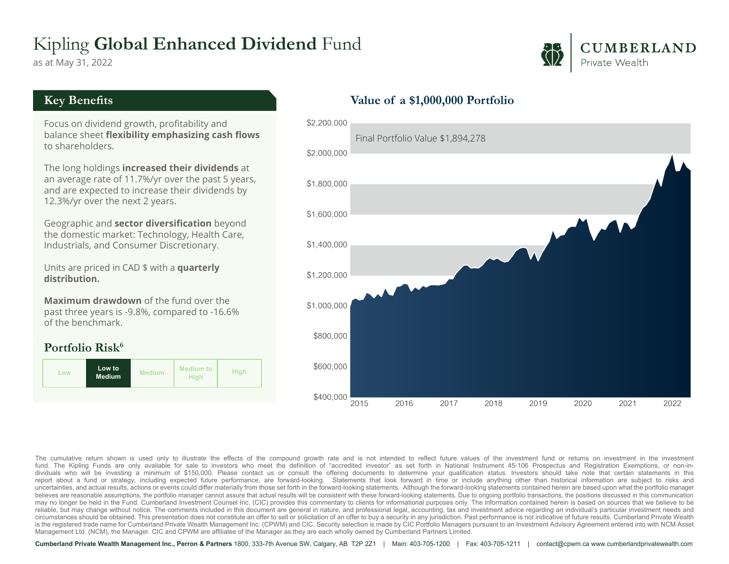# Kipling **Global Enhanced Dividend** Fund

as at May 31, 2022



#### **Key Benefits**

Focus on dividend growth, profitability and balance sheet **flexibility emphasizing cash flows** to shareholders.

The long holdings **increased their dividends** at an average rate of 11.7%/yr over the past 5 years, and are expected to increase their dividends by 12.3%/yr over the next 2 years.

Geographic and **sector diversification** beyond the domestic market: Technology, Health Care, Industrials, and Consumer Discretionary.

Units are priced in CAD \$ with a **quarterly distribution.**

**Maximum drawdown** of the fund over the past three years is -9.8%, compared to -16.6% of the benchmark.

### **Portfolio Risk<sup>6</sup>**



## **Value of a \$1,000,000 Portfolio**



The cumulative return shown is used only to illustrate the effects of the compound growth rate and is not intended to reflect future values of the investment fund or returns on investment in the investment in the investmen dividuals who will be investing a minimum of \$150,000. Please contact us or consult the offering documents to determine your qualification status. Investors should take note that certain statements in this report about a fund or strategy, including expected future performance, are forward-looking. Statements that look forward in time or include anything other than historical information are subject to risks and uncertainties, and actual results, actions or events could differ materially from those set forth in the forward-looking statements. Although the forward-looking statements contained herein are based upon what the portfoli believes are reasonable assumptions, the portfolio manager cannot assure that actual results will be consistent with these forward-looking statements. Due to ongoing portfolio transactions, the positions discussed in this may no longer be held in the Fund. Cumberland Investment Counsel Inc. (CIC) provides this commentary to clients for informational purposes only. The information contained herein is based on sources that we believe to be reliable, but may change without notice. The comments included in this document are general in nature, and professional legal, accounting, tax and investment advice regarding an individual's particular investment needs and circumstances should be obtained. This presentation does not constitute an offer to sell or solicitation of an offer to buy a security in any jurisdiction. Past performance is not indicative of future results. Cumberland P is the registered trade name for Cumberland Private Wealth Management Inc. (CPWM) and CIC. Security selection is made by CIC Portfolio Managers pursuant to an Investment Advisory Agreement entered into with NCM Asset Management Ltd. (NCM), the Manager. CIC and CPWM are affiliates of the Manager as they are each wholly owned by Cumberland Partners Limited.

**Cumberland Private Wealth Management Inc., Perron & Partners** 1800, 333-7th Avenue SW, Calgary, AB T2P 2Z1 | Main: 403-705-1200 | Fax: 403-705-1211 | contact@cpwm.ca www.cumberlandprivatewealth.com